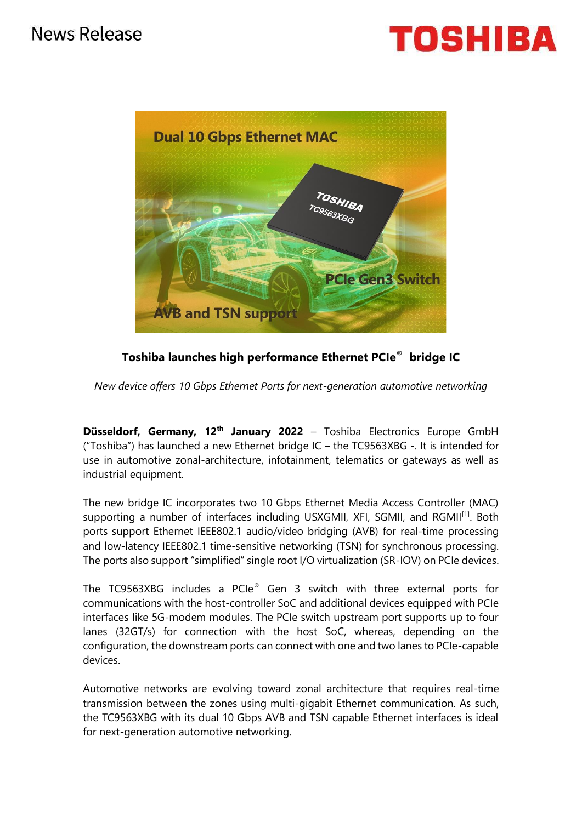



**Toshiba launches high performance Ethernet PCIe® bridge IC**

*New device offers 10 Gbps Ethernet Ports for next-generation automotive networking*

**Düsseldorf, Germany, 12<sup>th</sup> January 2022** – Toshiba Electronics Europe GmbH ("Toshiba") has launched a new Ethernet bridge IC – the TC9563XBG -. It is intended for use in automotive zonal-architecture, infotainment, telematics or gateways as well as industrial equipment.

The new bridge IC incorporates two 10 Gbps Ethernet Media Access Controller (MAC) supporting a number of interfaces including USXGMII, XFI, SGMII, and RGMII<sup>[1]</sup>. Both ports support Ethernet IEEE802.1 audio/video bridging (AVB) for real-time processing and low-latency IEEE802.1 time-sensitive networking (TSN) for synchronous processing. The ports also support "simplified" single root I/O virtualization (SR-IOV) on PCIe devices.

The TC9563XBG includes a PCIe® Gen 3 switch with three external ports for communications with the host-controller SoC and additional devices equipped with PCIe interfaces like 5G-modem modules. The PCIe switch upstream port supports up to four lanes (32GT/s) for connection with the host SoC, whereas, depending on the configuration, the downstream ports can connect with one and two lanes to PCIe-capable devices.

Automotive networks are evolving toward zonal architecture that requires real-time transmission between the zones using multi-gigabit Ethernet communication. As such, the TC9563XBG with its dual 10 Gbps AVB and TSN capable Ethernet interfaces is ideal for next-generation automotive networking.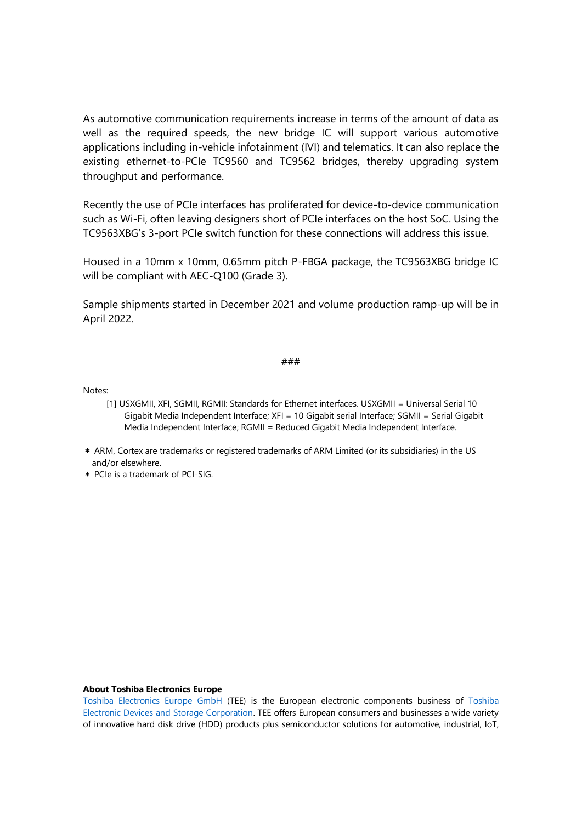As automotive communication requirements increase in terms of the amount of data as well as the required speeds, the new bridge IC will support various automotive applications including in-vehicle infotainment (IVI) and telematics. It can also replace the existing ethernet-to-PCIe TC9560 and TC9562 bridges, thereby upgrading system throughput and performance.

Recently the use of PCIe interfaces has proliferated for device-to-device communication such as Wi-Fi, often leaving designers short of PCIe interfaces on the host SoC. Using the TC9563XBG's 3-port PCIe switch function for these connections will address this issue.

Housed in a 10mm x 10mm, 0.65mm pitch P-FBGA package, the TC9563XBG bridge IC will be compliant with AEC-Q100 (Grade 3).

Sample shipments started in December 2021 and volume production ramp-up will be in April 2022.

# ###

Notes:

- [1] USXGMII, XFI, SGMII, RGMII: Standards for Ethernet interfaces. USXGMII = Universal Serial 10 Gigabit Media Independent Interface; XFI = 10 Gigabit serial Interface; SGMII = Serial Gigabit Media Independent Interface; RGMII = Reduced Gigabit Media Independent Interface.
- \* ARM, Cortex are trademarks or registered trademarks of ARM Limited (or its subsidiaries) in the US and/or elsewhere.
- \* PCIe is a trademark of PCI-SIG.

#### **About Toshiba Electronics Europe**

[Toshiba Electronics Europe GmbH](http://toshiba.semicon-storage.com/eu/top.html) (TEE) is the European electronic components business of [Toshiba](https://toshiba.semicon-storage.com/ap-en/company.html)  [Electronic Devices and Storage Corporation.](https://toshiba.semicon-storage.com/ap-en/company.html) TEE offers European consumers and businesses a wide variety of innovative hard disk drive (HDD) products plus semiconductor solutions for automotive, industrial, IoT,